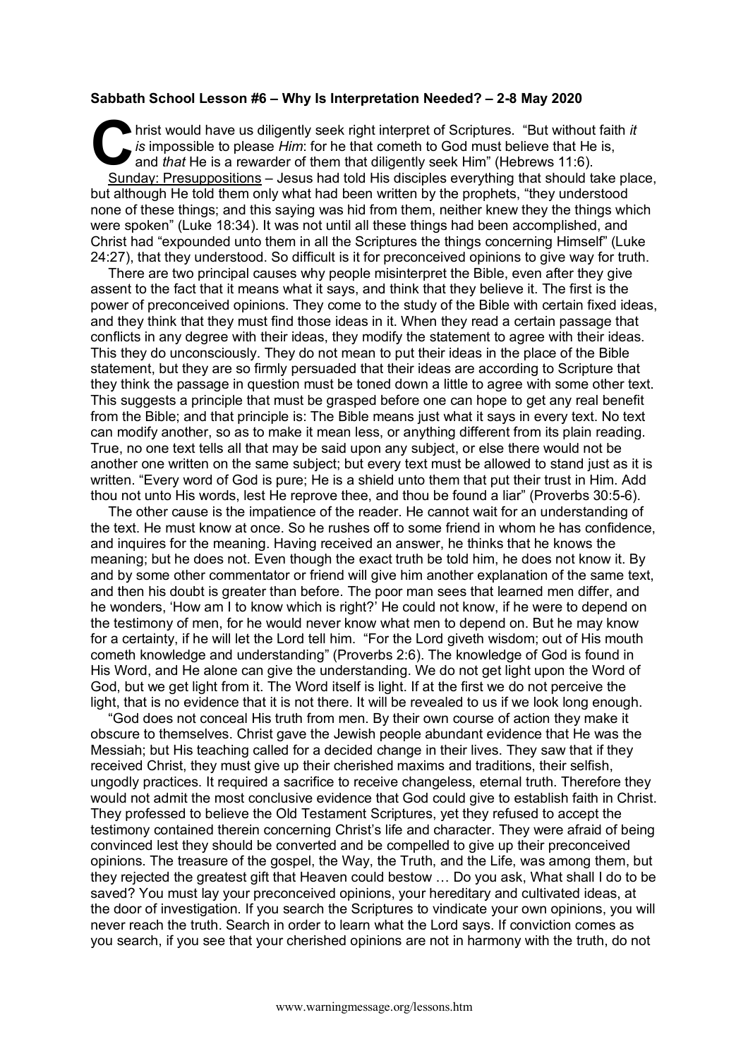## **Sabbath School Lesson #6 – Why Is Interpretation Needed? – 2-8 May 2020**

hrist would have us diligently seek right interpret of Scriptures. "But without faith *it is* impossible to please *Him*: for he that cometh to God must believe that He is, and *that* He is a rewarder of them that diligently seek Him" (Hebrews 11:6). Sunday: Presuppositions – Jesus had told His disciples everything that should take place, but although He told them only what had been written by the prophets, "they understood none of these things; and this saying was hid from them, neither knew they the things which were spoken" (Luke 18:34). It was not until all these things had been accomplished, and Christ had "expounded unto them in all the Scriptures the things concerning Himself" (Luke 24:27), that they understood. So difficult is it for preconceived opinions to give way for truth. C hris

There are two principal causes why people misinterpret the Bible, even after they give assent to the fact that it means what it says, and think that they believe it. The first is the power of preconceived opinions. They come to the study of the Bible with certain fixed ideas, and they think that they must find those ideas in it. When they read a certain passage that conflicts in any degree with their ideas, they modify the statement to agree with their ideas. This they do unconsciously. They do not mean to put their ideas in the place of the Bible statement, but they are so firmly persuaded that their ideas are according to Scripture that they think the passage in question must be toned down a little to agree with some other text. This suggests a principle that must be grasped before one can hope to get any real benefit from the Bible; and that principle is: The Bible means just what it says in every text. No text can modify another, so as to make it mean less, or anything different from its plain reading. True, no one text tells all that may be said upon any subject, or else there would not be another one written on the same subject; but every text must be allowed to stand just as it is written. "Every word of God is pure; He is a shield unto them that put their trust in Him. Add thou not unto His words, lest He reprove thee, and thou be found a liar" (Proverbs 30:5-6).

The other cause is the impatience of the reader. He cannot wait for an understanding of the text. He must know at once. So he rushes off to some friend in whom he has confidence, and inquires for the meaning. Having received an answer, he thinks that he knows the meaning; but he does not. Even though the exact truth be told him, he does not know it. By and by some other commentator or friend will give him another explanation of the same text, and then his doubt is greater than before. The poor man sees that learned men differ, and he wonders, 'How am I to know which is right?' He could not know, if he were to depend on the testimony of men, for he would never know what men to depend on. But he may know for a certainty, if he will let the Lord tell him. "For the Lord giveth wisdom; out of His mouth cometh knowledge and understanding" (Proverbs 2:6). The knowledge of God is found in His Word, and He alone can give the understanding. We do not get light upon the Word of God, but we get light from it. The Word itself is light. If at the first we do not perceive the light, that is no evidence that it is not there. It will be revealed to us if we look long enough.

"God does not conceal His truth from men. By their own course of action they make it obscure to themselves. Christ gave the Jewish people abundant evidence that He was the Messiah; but His teaching called for a decided change in their lives. They saw that if they received Christ, they must give up their cherished maxims and traditions, their selfish, ungodly practices. It required a sacrifice to receive changeless, eternal truth. Therefore they would not admit the most conclusive evidence that God could give to establish faith in Christ. They professed to believe the Old Testament Scriptures, yet they refused to accept the testimony contained therein concerning Christ's life and character. They were afraid of being convinced lest they should be converted and be compelled to give up their preconceived opinions. The treasure of the gospel, the Way, the Truth, and the Life, was among them, but they rejected the greatest gift that Heaven could bestow … Do you ask, What shall I do to be saved? You must lay your preconceived opinions, your hereditary and cultivated ideas, at the door of investigation. If you search the Scriptures to vindicate your own opinions, you will never reach the truth. Search in order to learn what the Lord says. If conviction comes as you search, if you see that your cherished opinions are not in harmony with the truth, do not